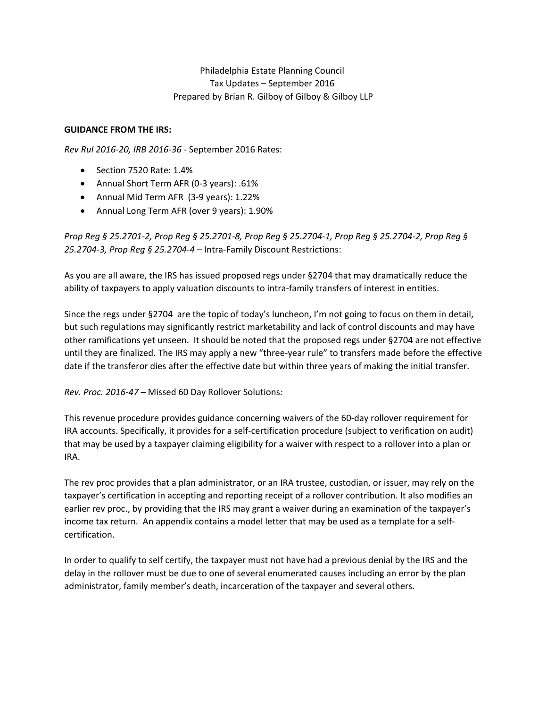## Philadelphia Estate Planning Council Tax Updates – September 2016 Prepared by Brian R. Gilboy of Gilboy & Gilboy LLP

## **GUIDANCE FROM THE IRS:**

*Rev Rul 2016‐20, IRB 2016‐36* ‐ September 2016 Rates:

- $\bullet$  Section 7520 Rate: 1.4%
- Annual Short Term AFR (0‐3 years): .61%
- Annual Mid Term AFR (3‐9 years): 1.22%
- Annual Long Term AFR (over 9 years): 1.90%

Prop Reg § 25.2701-2, Prop Reg § 25.2701-8, Prop Reg § 25.2704-1, Prop Reg § 25.2704-2, Prop Reg § *25.2704‐3, Prop Reg § 25.2704‐4* – Intra‐Family Discount Restrictions:

As you are all aware, the IRS has issued proposed regs under §2704 that may dramatically reduce the ability of taxpayers to apply valuation discounts to intra-family transfers of interest in entities.

Since the regs under §2704 are the topic of today's luncheon, I'm not going to focus on them in detail, but such regulations may significantly restrict marketability and lack of control discounts and may have other ramifications yet unseen. It should be noted that the proposed regs under §2704 are not effective until they are finalized. The IRS may apply a new "three‐year rule" to transfers made before the effective date if the transferor dies after the effective date but within three years of making the initial transfer.

*Rev. Proc. 2016‐47 –* Missed 60 Day Rollover Solutions*:*

This revenue procedure provides guidance concerning waivers of the 60‐day rollover requirement for IRA accounts. Specifically, it provides for a self‐certification procedure (subject to verification on audit) that may be used by a taxpayer claiming eligibility for a waiver with respect to a rollover into a plan or IRA.

The rev proc provides that a plan administrator, or an IRA trustee, custodian, or issuer, may rely on the taxpayer's certification in accepting and reporting receipt of a rollover contribution. It also modifies an earlier rev proc., by providing that the IRS may grant a waiver during an examination of the taxpayer's income tax return. An appendix contains a model letter that may be used as a template for a self‐ certification.

In order to qualify to self certify, the taxpayer must not have had a previous denial by the IRS and the delay in the rollover must be due to one of several enumerated causes including an error by the plan administrator, family member's death, incarceration of the taxpayer and several others.